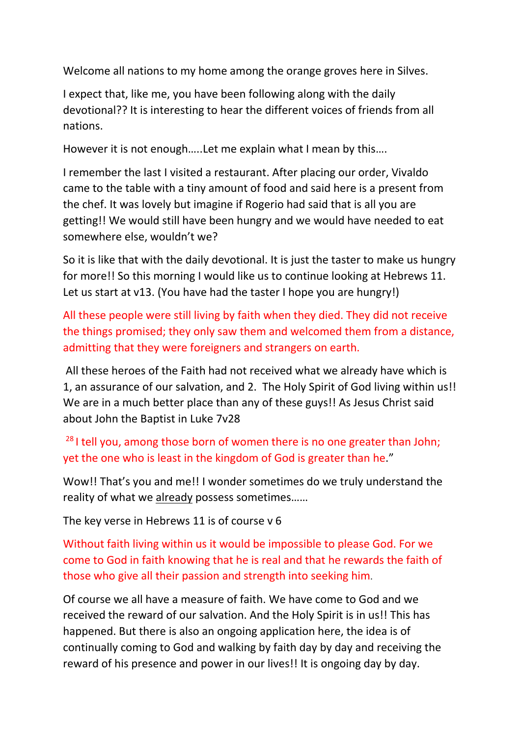Welcome all nations to my home among the orange groves here in Silves.

I expect that, like me, you have been following along with the daily devotional?? It is interesting to hear the different voices of friends from all nations.

However it is not enough…..Let me explain what I mean by this….

I remember the last I visited a restaurant. After placing our order, Vivaldo came to the table with a tiny amount of food and said here is a present from the chef. It was lovely but imagine if Rogerio had said that is all you are getting!! We would still have been hungry and we would have needed to eat somewhere else, wouldn't we?

So it is like that with the daily devotional. It is just the taster to make us hungry for more!! So this morning I would like us to continue looking at Hebrews 11. Let us start at v13. (You have had the taster I hope you are hungry!)

All these people were still living by faith when they died. They did not receive the things promised; they only saw them and welcomed them from a distance, admitting that they were foreigners and strangers on earth.

All these heroes of the Faith had not received what we already have which is 1, an assurance of our salvation, and 2. The Holy Spirit of God living within us!! We are in a much better place than any of these guys!! As Jesus Christ said about John the Baptist in Luke 7v28

 $28$  I tell you, among those born of women there is no one greater than John; yet the one who is least in the kingdom of God is greater than he."

Wow!! That's you and me!! I wonder sometimes do we truly understand the reality of what we already possess sometimes......

The key verse in Hebrews 11 is of course v 6

Without faith living within us it would be impossible to please God. For we come to God in faith knowing that he is real and that he rewards the faith of those who give all their passion and strength into seeking him.

Of course we all have a measure of faith. We have come to God and we received the reward of our salvation. And the Holy Spirit is in us!! This has happened. But there is also an ongoing application here, the idea is of continually coming to God and walking by faith day by day and receiving the reward of his presence and power in our lives!! It is ongoing day by day.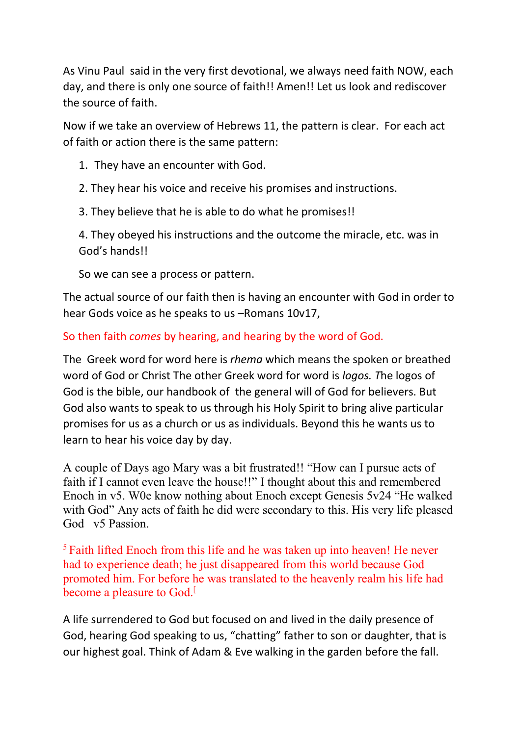As Vinu Paul said in the very first devotional, we always need faith NOW, each day, and there is only one source of faith!! Amen!! Let us look and rediscover the source of faith.

Now if we take an overview of Hebrews 11, the pattern is clear. For each act of faith or action there is the same pattern:

- 1. They have an encounter with God.
- 2. They hear his voice and receive his promises and instructions.
- 3. They believe that he is able to do what he promises!!

4. They obeyed his instructions and the outcome the miracle, etc. was in God's hands!!

So we can see a process or pattern.

The actual source of our faith then is having an encounter with God in order to hear Gods voice as he speaks to us –Romans 10v17,

## So then faith *comes* by hearing, and hearing by the word of God.

The Greek word for word here is *rhema* which means the spoken or breathed word of God or Christ The other Greek word for word is *logos. T*he logos of God is the bible, our handbook of the general will of God for believers. But God also wants to speak to us through his Holy Spirit to bring alive particular promises for us as a church or us as individuals. Beyond this he wants us to learn to hear his voice day by day.

A couple of Days ago Mary was a bit frustrated!! "How can I pursue acts of faith if I cannot even leave the house!!" I thought about this and remembered Enoch in v5. W0e know nothing about Enoch except Genesis 5v24 "He walked with God" Any acts of faith he did were secondary to this. His very life pleased God v5 Passion.

<sup>5</sup> Faith lifted Enoch from this life and he was taken up into heaven! He never had to experience death; he just disappeared from this world because God promoted him. For before he was translated to the heavenly realm his life had become a pleasure to God.<sup>[1]</sup>

A life surrendered to God but focused on and lived in the daily presence of God, hearing God speaking to us, "chatting" father to son or daughter, that is our highest goal. Think of Adam & Eve walking in the garden before the fall.